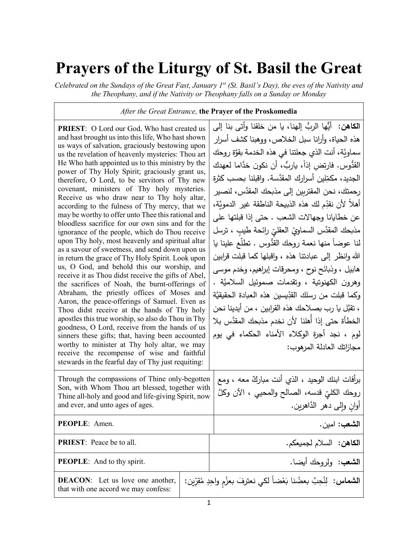## **Prayers of the Liturgy of St. Basil the Great**

*Celebrated on the Sundays of the Great Fast, January 1st (St. Basil's Day), the eves of the Nativity and the Theophany, and if the Nativity or Theophany falls on a Sunday or Monday*

*After the Great Entrance,* **the Prayer of the Proskomedia** 

**PRIEST**: O Lord our God, Who hast created us and hast brought us into this life, Who hast shown us ways of salvation, graciously bestowing upon us the revelation of heavenly mysteries: Thou art He Who hath appointed us to this ministry by the power of Thy Holy Spirit; graciously grant us, therefore, O Lord, to be servitors of Thy new covenant, ministers of Thy holy mysteries. Receive us who draw near to Thy holy altar, according to the fulness of Thy mercy, that we may be worthy to offer unto Thee this rational and bloodless sacrifice for our own sins and for the ignorance of the people, which do Thou receive upon Thy holy, most heavenly and spiritual altar as a savour of sweetness, and send down upon us in return the grace of Thy Holy Spirit. Look upon us, O God, and behold this our worship, and receive it as Thou didst receive the gifts of Abel, the sacrifices of Noah, the burnt-offerings of Abraham, the priestly offices of Moses and Aaron, the peace-offerings of Samuel. Even as Thou didst receive at the hands of Thy holy apostles this true worship, so also do Thou in Thy goodness, O Lord, receive from the hands of us sinners these gifts; that, having been accounted worthy to minister at Thy holy altar, we may receive the recompense of wise and faithful stewards in the fearful day of Thy just requiting:

ا**لكاهن:** أيُّها الربُّ إلهنا، يا من خلقنا وأتى بنا إلى هذه الح�اة، وأرانا سبل الخلاص، ووهبنا �شف أسرار سماوِيَّة، أنت الذي جعلتنا في هذه الخدمة بقوَّة روحك القدُّوس. فارتض إذاً، ياربٌ، أن نكون خدَّاما لعهدك الجديد، مكمِّلين أسرارك المقدَّسة. واقبلنا بحسب كثرة رحمتك، نحن المقتربین إلى مذبحك المقدَّس، لنصیر أهلاً لأن نقدِّم لك هذه الذبيحة الناطقة غير الدمويَّة، عن خطا�انا وجهالات الشعب . حتى إذا قبلتها على مذبحك المقدَّس السماويِّ العقليِّ رائحة طيبٍ ، ترسل ׇ֢֧֢֧֧֧֧֦֧֧֪֪֪֪֪֦֧֧֦֧֧֧֦֧֧ׅ֦֧֪֪֪֪֪֪֪֪֪ׅ֦֪֪֪֪֪֪֪֪֪֪֪֪֪֪ׅ֡֡֬֟֓֟֓֟֓֟֓֟֓֡֟֓֡֟֓֡֟֓֟֓֡֟֓֟֓֡֟֓֓֟֓֟֓֟֓֟֓֟֓֞֓֞֓֟֓֓֞֓֞֞֡֟ لنا عوضاً منها نعمة روحك القدُوس . تطلّع علینا یا الله وانظر إلى ع�ادتنا هذه ، واقبلها �ما قبلت قرابین هابیل ، وذبائح نوح ، ومحرقات إبراهيم، وخدم موسى وهرون الكهنوتية ، وتقدمات صموئيل السلاميَّة . وكما قبلت من رسلك القدِّيسين هذه ال<mark>عب</mark>ادة الحقيقيَّة َّ ، تقبل �ا رب �صلاحك هذه القرابین ، من أیدینا نحن الخطأة حتى إذا أُهلنا لأن نخدم مذبحك المقدَّس بلا لوم ، نجد أجرة الو�لاء الأمناء الحكماء في یوم مجازاتك العادلة المرهوب: برأفات ابنك الوحید ، الذي أنت مباركٌ معه ، ومع | Through the compassions of Thine only-begotten<br>Son with Whom Thou art blessed togather with

| Son, with Whom Thou art blessed, together with<br>Thine all-holy and good and life-giving Spirit, now<br>and ever, and unto ages of ages. | روحك الكليِّ قدسه، الصالح والمحيي ، الآن وكلَّ<br>أوان والمي دهر الدَّاهرين. |
|-------------------------------------------------------------------------------------------------------------------------------------------|------------------------------------------------------------------------------|
| <b>PEOPLE:</b> Amen.                                                                                                                      | الشعب: امين.                                                                 |
| <b>PRIEST:</b> Peace be to all.                                                                                                           | الكاهن: السلام لجميعكم.                                                      |
| <b>PEOPLE:</b> And to thy spirit.                                                                                                         | ال <b>شعب:</b> ولروحك أيضا.                                                  |
| <b>DEACON:</b> Let us love one another,<br>that with one accord we may confess:                                                           | ال <b>شماس:</b> لِلْحِبَّ بعضُنا بَعْضاً لكي نعترفَ بعزْمِ واحِدٍ مُقِرِّين: |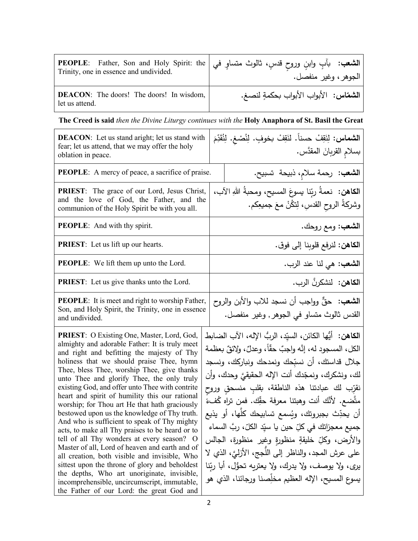| Trinity, one in essence and undivided.                            | الشعب: بأبِ وابنِ وروحِ قدسٍ، ثالوث متساوٍ في PEOPLE: Father, Son and Holy Spirit: the   الشعب: بأبِ وابنِ وروحِ قدسٍ، ثالوث متساوٍ في<br>الجوهر ، وغير منفصل. |
|-------------------------------------------------------------------|----------------------------------------------------------------------------------------------------------------------------------------------------------------|
| <b>DEACON:</b> The doors! The doors! In wisdom,<br>let us attend. | ال <b>شمّاس:</b> الأبواب الأبواب بحكمةٍ لنصغ.                                                                                                                  |

**The Creed is said** *then the Divine Liturgy continues with the* **Holy Anaphora of St. Basil the Great**

| <b>DEACON:</b> Let us stand aright; let us stand with<br>fear; let us attend, that we may offer the holy<br>oblation in peace.                                                                                                                                                                                                                                                                                                                                                                                                                                                                                                                                                                                                                                                                                                                                                                                                               | ا <b>لشماس</b> : لِنَقِفْ حسناً. لنَقِفْ بخوفٍ. لِنُصْغِ. لِنُقَدِّمَ<br>بسلامِ القربانَ المقدَّس.                                                                                                                                                                                                                                                                                                                                                                                                                                                                                                                                                                                      |
|----------------------------------------------------------------------------------------------------------------------------------------------------------------------------------------------------------------------------------------------------------------------------------------------------------------------------------------------------------------------------------------------------------------------------------------------------------------------------------------------------------------------------------------------------------------------------------------------------------------------------------------------------------------------------------------------------------------------------------------------------------------------------------------------------------------------------------------------------------------------------------------------------------------------------------------------|-----------------------------------------------------------------------------------------------------------------------------------------------------------------------------------------------------------------------------------------------------------------------------------------------------------------------------------------------------------------------------------------------------------------------------------------------------------------------------------------------------------------------------------------------------------------------------------------------------------------------------------------------------------------------------------------|
| <b>PEOPLE:</b> A mercy of peace, a sacrifice of praise.                                                                                                                                                                                                                                                                                                                                                                                                                                                                                                                                                                                                                                                                                                                                                                                                                                                                                      | ا <b>لشعب:</b> رحمة سلامٍ، ذبيحة تسبيح.                                                                                                                                                                                                                                                                                                                                                                                                                                                                                                                                                                                                                                                 |
| <b>PRIEST:</b> The grace of our Lord, Jesus Christ,<br>and the love of God, the Father, and the<br>communion of the Holy Spirit be with you all.                                                                                                                                                                                                                                                                                                                                                                                                                                                                                                                                                                                                                                                                                                                                                                                             | الكاهن:  نعمةَ ربِّنا بيسوعَ المسيح، ومحبةُ اللهِ الآب،<br>وشركةُ الروحِ القدسِ، لِتكُنْ معَ جميعِكم.                                                                                                                                                                                                                                                                                                                                                                                                                                                                                                                                                                                   |
| <b>PEOPLE:</b> And with thy spirit.                                                                                                                                                                                                                                                                                                                                                                                                                                                                                                                                                                                                                                                                                                                                                                                                                                                                                                          | ال <b>شعب</b> : ومع روحك.                                                                                                                                                                                                                                                                                                                                                                                                                                                                                                                                                                                                                                                               |
| <b>PRIEST:</b> Let us lift up our hearts.                                                                                                                                                                                                                                                                                                                                                                                                                                                                                                                                                                                                                                                                                                                                                                                                                                                                                                    | ا <b>لكاهن:</b> لنرفع قلوبنا إلى فوق.                                                                                                                                                                                                                                                                                                                                                                                                                                                                                                                                                                                                                                                   |
| <b>PEOPLE:</b> We lift them up unto the Lord.                                                                                                                                                                                                                                                                                                                                                                                                                                                                                                                                                                                                                                                                                                                                                                                                                                                                                                | ا <b>لشعب:</b> هي لنا عند الرب.                                                                                                                                                                                                                                                                                                                                                                                                                                                                                                                                                                                                                                                         |
| <b>PRIEST:</b> Let us give thanks unto the Lord.                                                                                                                                                                                                                                                                                                                                                                                                                                                                                                                                                                                                                                                                                                                                                                                                                                                                                             | ا <b>لكاهن:</b> لنشكرنَّ الرب.                                                                                                                                                                                                                                                                                                                                                                                                                                                                                                                                                                                                                                                          |
| <b>PEOPLE:</b> It is meet and right to worship Father,<br>Son, and Holy Spirit, the Trinity, one in essence<br>and undivided.                                                                                                                                                                                                                                                                                                                                                                                                                                                                                                                                                                                                                                                                                                                                                                                                                | ا <b>لشعب:</b> حقٌّ وواجب أن نسجد للاب والأبن والروح<br>القدس ثالوث متساو في الجوهر , وغير منفصل.                                                                                                                                                                                                                                                                                                                                                                                                                                                                                                                                                                                       |
| PRIEST: O Existing One, Master, Lord, God,<br>almighty and adorable Father: It is truly meet<br>and right and befitting the majesty of Thy<br>holiness that we should praise Thee, hymn<br>Thee, bless Thee, worship Thee, give thanks<br>unto Thee and glorify Thee, the only truly<br>existing God, and offer unto Thee with contrite<br>heart and spirit of humility this our rational<br>worship; for Thou art He that hath graciously<br>bestowed upon us the knowledge of Thy truth.<br>And who is sufficient to speak of Thy mighty<br>acts, to make all Thy praises to be heard or to<br>tell of all Thy wonders at every season? O<br>Master of all, Lord of heaven and earth and of<br>all creation, both visible and invisible, Who<br>sittest upon the throne of glory and beholdest<br>the depths, Who art unoriginate, invisible,<br>incomprehensible, uncircumscript, immutable,<br>the Father of our Lord: the great God and | ا <b>لكاهن:</b> أيُّها الكائن، السيّد، الربُّ الإله، الآب الضابط<br>الكل، المسجود له، إنَّه واجبٌ حقًّا، وعدلٌ، ولائقٌ بعظمة<br>جلال قداستك، أن نسبّحك ونمدحك ونباركك، ونسجد<br>لك، ونشكرك، ونمجّدك أنت الإله الحقيقيّ وحدك، وأن<br>نقرّب لك عبادتنا هذه الناطقة، بقلبِ منسحق وروح<br>متَّضع. لأنَّك أنت وهبتنا معرفة حقِّك. فمن تراه كُفءَ<br>أن يحدِّث بجبروتك، ويُسمع تسابيحك كلُّها، أو يذيع<br>جميع معجزاتك في كلِّ حين يا سيِّد الكلِّ، ربَّ السماء<br>والأرض، وكلِّ خليقةٍ منظورةٍ وغير  منظورة، الجالس<br>على عرش المجد، والناظر إلى اللَّجج، الأزليَّ، الذي لا<br>يرى، ولا يوصف، ولا يدرك، ولا يعتريه تحوُّل، أبا ربّنا<br>يسوع المسيح، الإله العظيم مخلِّصنا ورجائنا، الذي هو |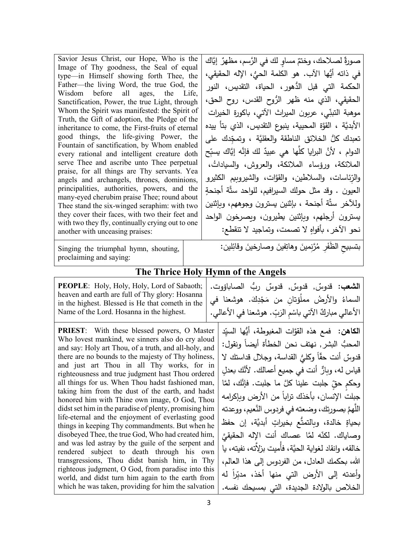| Savior Jesus Christ, our Hope, Who is the<br>Image of Thy goodness, the Seal of equal<br>type—in Himself showing forth Thee, the<br>Father—the living Word, the true God, the<br>Wisdom before all ages, the Life,<br>Sanctification, Power, the true Light, through<br>Whom the Spirit was manifested: the Spirit of<br>Truth, the Gift of adoption, the Pledge of the<br>inheritance to come, the First-fruits of eternal<br>good things, the life-giving Power, the<br>Fountain of sanctification, by Whom enabled<br>every rational and intelligent creature doth<br>serve Thee and ascribe unto Thee perpetual<br>praise, for all things are Thy servants. Yea<br>angels and archangels, thrones, dominions,<br>principalities, authorities, powers, and the<br>many-eyed cherubim praise Thee; round about<br>Thee stand the six-winged seraphim: with two<br>they cover their faces, with two their feet and<br>with two they fly, continually crying out to one<br>another with unceasing praises:                                                                                                               | صورةٌ لصـلاحك، وختمٌ مساوٍ لك في الرَّسم، مظهرٌ  إيَّاك<br>في ذاته أيُّها الآب. هو الكلمة الحيُّ، الإله الحقيقي،<br>الحكمة التي قبل الدُّهورِ ، الحياة، التقديس، النور<br>الحقيقي، الذي منه ظهر الرُّوح القدس، روح الحق،<br>موهبة التبنِّي، عربون الميراث الآتي، باكورة الخيرات<br>الأبديَّة ، القوَّة المحيية، ينبوع التقديس، الذي بتأ ييده<br>تعبدك كلُّ الخلائق الناطقة والعقليَّة ، وتمجِّدك على<br>الدوام ، لأنَّ البرايا كلَّها هي عبيدٌ لك فإنَّه إيَّاك يسبِّح<br>الملائكة، ورؤساء الملائكة، والعروش، والسياداتُ،<br>والرّئاسات، والسلاطين، والقوَّات، والشيروبيم الكثيرو<br>العيون . وقد مثل حولك السيرافيم، للواحد ستَّة أجنحةٍ<br>وللأخر ستَّة أجنحة ، بإثنين يسترون وجوههم، وبإثنين<br>يسترون أرجلهم، وبإثنين يطيرون، ويصرخون الواحد<br>نحو الآخر ، بأفواهٍ لا تصمت، وتماجيد لا تنقطع:                |
|--------------------------------------------------------------------------------------------------------------------------------------------------------------------------------------------------------------------------------------------------------------------------------------------------------------------------------------------------------------------------------------------------------------------------------------------------------------------------------------------------------------------------------------------------------------------------------------------------------------------------------------------------------------------------------------------------------------------------------------------------------------------------------------------------------------------------------------------------------------------------------------------------------------------------------------------------------------------------------------------------------------------------------------------------------------------------------------------------------------------------|-------------------------------------------------------------------------------------------------------------------------------------------------------------------------------------------------------------------------------------------------------------------------------------------------------------------------------------------------------------------------------------------------------------------------------------------------------------------------------------------------------------------------------------------------------------------------------------------------------------------------------------------------------------------------------------------------------------------------------------------------------------------------------------------------------------------|
| Singing the triumphal hymn, shouting,<br>proclaiming and saying:                                                                                                                                                                                                                                                                                                                                                                                                                                                                                                                                                                                                                                                                                                                                                                                                                                                                                                                                                                                                                                                         | بتسبيح الظَفَرِ مُرَّنِمينَ وهاتِفينَ وصارخينَ وقائِلين:                                                                                                                                                                                                                                                                                                                                                                                                                                                                                                                                                                                                                                                                                                                                                          |
|                                                                                                                                                                                                                                                                                                                                                                                                                                                                                                                                                                                                                                                                                                                                                                                                                                                                                                                                                                                                                                                                                                                          | The Thrice Holy Hymn of the Angels                                                                                                                                                                                                                                                                                                                                                                                                                                                                                                                                                                                                                                                                                                                                                                                |
| PEOPLE: Holy, Holy, Holy, Lord of Sabaoth;<br>heaven and earth are full of Thy glory: Hosanna<br>in the highest. Blessed is He that cometh in the<br>Name of the Lord. Hosanna in the highest.<br><b>PRIEST:</b> With these blessed powers, O Master<br>Who lovest mankind, we sinners also do cry aloud<br>and say: Holy art Thou, of a truth, and all-holy, and<br>there are no bounds to the majesty of Thy holiness,<br>and just art Thou in all Thy works, for in<br>righteousness and true judgment hast Thou ordered<br>all things for us. When Thou hadst fashioned man,<br>taking him from the dust of the earth, and hadst<br>honored him with Thine own image, O God, Thou<br>didst set him in the paradise of plenty, promising him<br>life-eternal and the enjoyment of everlasting good<br>things in keeping Thy commandments. But when he<br>disobeyed Thee, the true God, Who had created him,<br>and was led astray by the guile of the serpent and<br>rendered subject to death through his own<br>transgressions, Thou didst banish him, in Thy<br>righteous judgment, O God, from paradise into this | ا <b>لشعب</b> : قدوسٌ, قدوسٌ, قدوسٌ ربُّ الصاباؤوت.<br>السماءُ والأرضُ مملَوْتانِ من مَجْدِكَ. هوشعنا في<br>الأعالي مباركٌ الآتي باسْم الرَبِّ. هوشعنا في الأعالي.<br>ا <b>لكاهن:</b> فمع هذه القوَّات المغبوطة، أيُّها السيِّد<br>المحبُّ البشرِ , نهتف نحن الخطأة أيضاً ونقول:<br>قدوسٌ أنت حقًّا وكليُّ القداسة، وجلال قداستك لا<br>قياس له، وبارٌّ أنت في جميع أعمالك. لأنَّك بعدلِ<br>وحكم حقِّ جلبت علينا كلَّ ما جلبت. فإنَّك، لمَّا<br>جبلت الإنسان، بأخذك تراباً من الأرض وبإكرامه<br>اللَّهمَّ بصورتك، وضعته في فردوس النَّعيم، ووعدته<br>بحياةٍ خالدة، وبالتمتُّع بخيراتٍ أبديَّة، إن حفظ<br>وصاياك. لكنّه لمَّا عصاك أنت الإله الحقيقيَّ<br>خالقه، وانقاد لغواية الحيَّة، فأُميت بزلاَّته، نفيته، يا<br>الله، بحكمك العادل، من الفردوس إلى هذا العالم،<br>وأعدته إلى الأرض التي منها أخذ، مدبِّراً له |
| world, and didst turn him again to the earth from<br>which he was taken, providing for him the salvation                                                                                                                                                                                                                                                                                                                                                                                                                                                                                                                                                                                                                                                                                                                                                                                                                                                                                                                                                                                                                 | الخلاص بالولادة الجديدة، التي بمسيحك نفسه.                                                                                                                                                                                                                                                                                                                                                                                                                                                                                                                                                                                                                                                                                                                                                                        |
|                                                                                                                                                                                                                                                                                                                                                                                                                                                                                                                                                                                                                                                                                                                                                                                                                                                                                                                                                                                                                                                                                                                          |                                                                                                                                                                                                                                                                                                                                                                                                                                                                                                                                                                                                                                                                                                                                                                                                                   |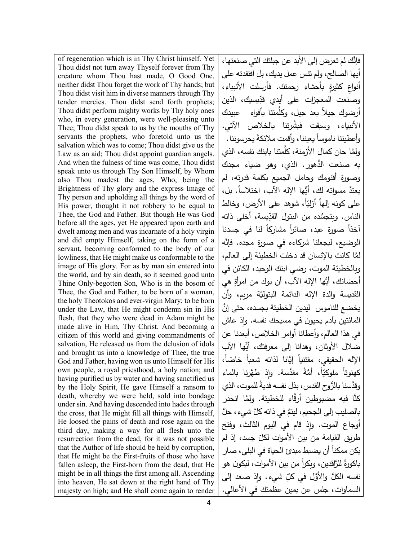of regeneration which is in Thy Christ himself. Yet Thou didst not turn away Thyself forever from Thy creature whom Thou hast made, O Good One, neither didst Thou forget the work of Thy hands; but Thou didst visit him in diverse manners through Thy tender mercies. Thou didst send forth prophets; Thou didst perform mighty works by Thy holy ones who, in every generation, were well-pleasing unto Thee; Thou didst speak to us by the mouths of Thy servants the prophets, who foretold unto us the salvation which was to come; Thou didst give us the Law as an aid; Thou didst appoint guardian angels. And when the fulness of time was come, Thou didst speak unto us through Thy Son Himself, by Whom also Thou madest the ages, Who, being the Brightness of Thy glory and the express Image of Thy person and upholding all things by the word of His power, thought it not robbery to be equal to Thee, the God and Father. But though He was God before all the ages, yet He appeared upon earth and dwelt among men and was incarnate of a holy virgin and did empty Himself, taking on the form of a servant, becoming conformed to the body of our lowliness, that He might make us conformable to the image of His glory. For as by man sin entered into the world, and by sin death, so it seemed good unto Thine Only-begotten Son, Who is in the bosom of Thee, the God and Father, to be born of a woman, the holy Theotokos and ever-virgin Mary; to be born under the Law, that He might condemn sin in His flesh, that they who were dead in Adam might be made alive in Him, Thy Christ. And becoming a citizen of this world and giving commandments of salvation, He released us from the delusion of idols and brought us into a knowledge of Thee, the true God and Father, having won us unto Himself for His own people, a royal priesthood, a holy nation; and having purified us by water and having sanctified us by the Holy Spirit, He gave Himself a ransom to death, whereby we were held, sold into bondage under sin. And having descended into hades through the cross, that He might fill all things with Himself, He loosed the pains of death and rose again on the third day, making a way for all flesh unto the resurrection from the dead, for it was not possible that the Author of life should be held by corruption, that He might be the First-fruits of those who have fallen asleep, the First-born from the dead, that He might be in all things the first among all. Ascending into heaven, He sat down at the right hand of Thy majesty on high; and He shall come again to render

َّ فإنك لم تعرض إلى الأبد عن جبلتك التي صنعتها، أیها الصالح، ولم تنس عمل ید�ك، بل افتقدته على أنواع كثيرة بأحشاء رحمتك. فأرسلت الأنبياء، وصنعت المعجزات على أيدي قدِّيسيك، الذين أرضوك جيلاً بعد جيل، وكلَّمتنا بأفواه عبيدك َّ الأنب�اء، وس�قت ف�شرتنا �الخلاص الآتي. وأعطیتنا ناموساً بعیننا، وأقمت ملائكةً بحرسوننا. ولمَّا حان كمال الأزمنة، كلَّمتنا بابنك نفسه، الذي به صنعت الدُّهور. الذي، وهو ضياء مجدك وصورة أقنومك وحامل الجم�ع �كلمة قدرته، لم يعتدَّ مسواته لك، أَيُّها الإِله الآب، اختلاساً. بل، على كونه إلها أزليّاً، شوهد على الأرض، وخالط الناس. وبتجسُّده من البتول القدِّيسة، أخلى ذاته أخذا صورة عبد، صائرا مشاركا لنا في جسدنا الوضيع، ليجعلنا شركاءه في صورة مجده. فإنَّه لمَّا كانت بالإنسان قد دخلت الخطيئة إلى العالم، و�الخطیئة الموت، رضي ابنك الوحید، الكائن في أحضانك، أيُّها الإله الآب، أن يولد من امرأةٍ هي القد�سة و الدة الإله َّ الدائمة البتول�ة مر�م، وأن يخضع للناموس ِ ليدين الخطيئة بجسده، حتى إنَّ المائتین بآدم يحیون في مسيحك نفسه. وإذ عاش في هذا العالم، وأعطانا أوامر الخلاص، أ�عدنا عن ضلال ا ٌّ لأوثان، وهدانا إلى معرفتك، أیها الآب الإله الحقيقي، مقتنيا إيَّانا لذاته شعبا خاصّا،<br>. كهنوتاً ملوكيّاً، أُمَّةً مقدَّسة. وإذ طهَّرنا بالماء وقدَّسنا بالرٌ وح القدس، بذل نفسه فديةً للموت، الذي كنَّا فيه مضبوطين أرقَّاء للخطيئة. ولمَّا انحدر بالصليب إلى الجحيم، ليتمَّ في ذاته كلَّ شيء، حلَّ أوجاع الموت. وإذ قام في اليوم الثالث، وفتح طريق القيامة من بين الأموات لكلّ جسد، إذ لم يكن ممكنا أن يضبط مبدئ الحياة في البلى، صار باكورةً للرَّاقدين، وبِكراً من بين الأموات، ليكون هو نفسه الكلَّ والأوَّل في كلِّ شيء. وإِذ صعد إلى السماوات، جلس عن �مین عظمتك في الأعالي.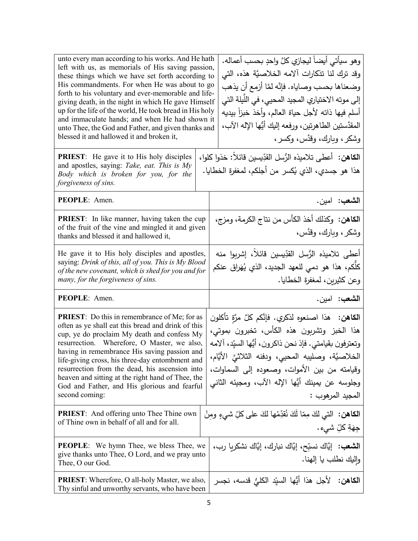| unto every man according to his works. And He hath<br>left with us, as memorials of His saving passion,<br>these things which we have set forth according to<br>His commandments. For when He was about to go<br>forth to his voluntary and ever-memorable and life-<br>giving death, in the night in which He gave Himself<br>up for the life of the world, He took bread in His holy<br>and immaculate hands; and when He had shown it<br>unto Thee, the God and Father, and given thanks and<br>blessed it and hallowed it and broken it,<br><b>PRIEST:</b> He gave it to His holy disciples<br>and apostles, saying: Take, eat. This is My<br>Body which is broken for you, for the<br>forgiveness of sins. |  | وهو سيأتي أيضاً ليجازي كلَّ واحدٍ بحسب أعماله.<br>وقد ترك لنا تذكارات آلامه الخلاصيَّة هذه، التي<br>وضعناها بحسب وصاياه. فإنَّه لمَّا أزمع أن يذهب<br>إلى موته الاختياري المجيد المحيى، في اللَّيلة التي<br>أسلم فيها ذاته لأجل حياة العالم، وأخذ خبزاً بيديه<br>المقدَّستين الطاهرتين، ورفعه إليك أيُّها الإله الآب،<br>وشكر ، وبارك، وقدَّس، وكسر ،<br>ا <b>لكاهن:</b> أعطى تلاميذه الرُّسل القدِّيسين قائلاً: خذوا كلوا،<br>هذا هو جسدي، الذي يُكسر من أجلكم، لمغفرة الخطايا. |  |
|-----------------------------------------------------------------------------------------------------------------------------------------------------------------------------------------------------------------------------------------------------------------------------------------------------------------------------------------------------------------------------------------------------------------------------------------------------------------------------------------------------------------------------------------------------------------------------------------------------------------------------------------------------------------------------------------------------------------|--|----------------------------------------------------------------------------------------------------------------------------------------------------------------------------------------------------------------------------------------------------------------------------------------------------------------------------------------------------------------------------------------------------------------------------------------------------------------------------------|--|
| PEOPLE: Amen.                                                                                                                                                                                                                                                                                                                                                                                                                                                                                                                                                                                                                                                                                                   |  | الشعب: امين.                                                                                                                                                                                                                                                                                                                                                                                                                                                                     |  |
| <b>PRIEST:</b> In like manner, having taken the cup<br>of the fruit of the vine and mingled it and given<br>thanks and blessed it and hallowed it,                                                                                                                                                                                                                                                                                                                                                                                                                                                                                                                                                              |  | ا <b>لكاهن:</b> وكذلك أخذ الكأس من نتاج الكرمة، ومزج،<br>وشكر ، وبارك، وقدَّس،                                                                                                                                                                                                                                                                                                                                                                                                   |  |
| He gave it to His holy disciples and apostles,<br>saying: Drink of this, all of you. This is My Blood<br>of the new covenant, which is shed for you and for<br>many, for the forgiveness of sins.                                                                                                                                                                                                                                                                                                                                                                                                                                                                                                               |  | أعطى تلاميذه الرُّسل القدِّيسين قائلاً، إشربوا منه<br>كلُّكم، هذا هو دمي للعهد الجديد، الذي يُهَراق عنكم<br>وعن كثيرين، لمغفرة الخطايا.                                                                                                                                                                                                                                                                                                                                          |  |
| PEOPLE: Amen.                                                                                                                                                                                                                                                                                                                                                                                                                                                                                                                                                                                                                                                                                                   |  | الشعب: امين.                                                                                                                                                                                                                                                                                                                                                                                                                                                                     |  |
| <b>PRIEST:</b> Do this in remembrance of Me; for as<br>often as ye shall eat this bread and drink of this<br>cup, ye do proclaim My death and confess My<br>resurrection. Wherefore, O Master, we also,<br>having in remembrance His saving passion and<br>life-giving cross, his three-day entombment and<br>resurrection from the dead, his ascension into<br>heaven and sitting at the right hand of Thee, the<br>God and Father, and His glorious and fearful<br>second coming:                                                                                                                                                                                                                             |  | ا <b>لكاهن: ه</b> ذا اصنعوه لذكري. فإنَّكم كلَّ مرَّةٍ تأكلون<br>هذا الخبز وتشربون هذه الكأس، تخبرون بموتى،<br>وتعترفون بقيامتي. فإذ نحن ذاكرون، أيُّها السيّد، آلامه                                                                                                                                                                                                                                                                                                            |  |
|                                                                                                                                                                                                                                                                                                                                                                                                                                                                                                                                                                                                                                                                                                                 |  | الخلاصيَّة، وصليبه المحيي، ودفنه الثلاثيَّ الأيَّام،<br>وقيامته من بين الأموات، وصعوده إلى السماوات،<br>وجلوسه عن يمينك أيُّها الإله الآب، ومجيئه الثاني<br>المجيد المرهوب :                                                                                                                                                                                                                                                                                                     |  |
| <b>PRIEST:</b> And offering unto Thee Thine own<br>of Thine own in behalf of all and for all.                                                                                                                                                                                                                                                                                                                                                                                                                                                                                                                                                                                                                   |  | ا <b>لكاهن:</b> التي لكَ مِمّا لَكَ نُقدِّمُها لكَ على كلِّ شيءٍ ومِنْ<br>جِهَةِ كلِّ شيء.                                                                                                                                                                                                                                                                                                                                                                                       |  |
| <b>PEOPLE:</b> We hymn Thee, we bless Thee, we<br>give thanks unto Thee, O Lord, and we pray unto<br>Thee, O our God.                                                                                                                                                                                                                                                                                                                                                                                                                                                                                                                                                                                           |  | ا <b>لشعب</b> :   إيَّاك نسبِّح، إيَّاك نبارك، إيَّاك نشكريا رب،<br>وإليك نطلب يا إلهنا.                                                                                                                                                                                                                                                                                                                                                                                         |  |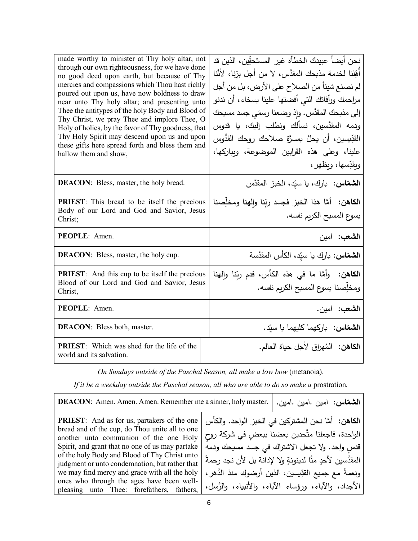| made worthy to minister at Thy holy altar, not<br>through our own righteousness, for we have done<br>no good deed upon earth, but because of Thy<br>mercies and compassions which Thou hast richly<br>poured out upon us, have now boldness to draw<br>near unto Thy holy altar; and presenting unto<br>Thee the antitypes of the holy Body and Blood of<br>Thy Christ, we pray Thee and implore Thee, O<br>Holy of holies, by the favor of Thy goodness, that<br>Thy Holy Spirit may descend upon us and upon<br>these gifts here spread forth and bless them and<br>hallow them and show, | نحن أيضاً عبيدك الخطأة غير المستحقِّين، الذين قد<br>أَهِّلنا لخدمة مذبحك المقدَّس، لا من أجل برّنا، لأنَّنا<br>لم نصنع شيئاً من الصلاح على الأرض، بل من أجل<br>مراحمك ورأفاتك التي أفضتها علينا بسخاء، أن ندنو<br>إلى مذبحك المقدَّس. وإذ وضعنا رسمَى جسد مسيحك<br>ودمه المقدَّسين، نسألك ونطلب إليك، يا قدوس<br>القدِّيسين، أن يحلَّ بمسرَّةٍ صـلاحك روحك القدُّوس<br>علينا، وعلى هذه القرابين الموضوعة، وبباركها،<br>وبقدِّسها، وبظهر ، |
|---------------------------------------------------------------------------------------------------------------------------------------------------------------------------------------------------------------------------------------------------------------------------------------------------------------------------------------------------------------------------------------------------------------------------------------------------------------------------------------------------------------------------------------------------------------------------------------------|-------------------------------------------------------------------------------------------------------------------------------------------------------------------------------------------------------------------------------------------------------------------------------------------------------------------------------------------------------------------------------------------------------------------------------------------|
|                                                                                                                                                                                                                                                                                                                                                                                                                                                                                                                                                                                             |                                                                                                                                                                                                                                                                                                                                                                                                                                           |
| <b>DEACON:</b> Bless, master, the holy bread.                                                                                                                                                                                                                                                                                                                                                                                                                                                                                                                                               | الشعقاس: بارك، يا سيّد، الخبز المقدَّس                                                                                                                                                                                                                                                                                                                                                                                                    |
| <b>PRIEST:</b> This bread to be itself the precious<br>Body of our Lord and God and Savior, Jesus<br>Christ;                                                                                                                                                                                                                                                                                                                                                                                                                                                                                | <b>الكاهن:</b> أمَّا هذا الخبز فجسد ربِّنا وإلهنا ومخلِصنا<br>يسوع المسيح الكريم نفسه.                                                                                                                                                                                                                                                                                                                                                    |
| PEOPLE: Amen.                                                                                                                                                                                                                                                                                                                                                                                                                                                                                                                                                                               | الشعب: امين                                                                                                                                                                                                                                                                                                                                                                                                                               |
| <b>DEACON:</b> Bless, master, the holy cup.                                                                                                                                                                                                                                                                                                                                                                                                                                                                                                                                                 | ا <b>لشمّاس:</b> بارك يا سيّد، الكأس المقدَّسة                                                                                                                                                                                                                                                                                                                                                                                            |
| <b>PRIEST:</b> And this cup to be itself the precious<br>Blood of our Lord and God and Savior, Jesus<br>Christ,                                                                                                                                                                                                                                                                                                                                                                                                                                                                             | ا <b>لكاهن:</b> وأمَّا ما في هذه الكأس، فدم ربِّنا وإلهنا<br>ومخلِّصنا يسوع المسيح الكريم نفسه.                                                                                                                                                                                                                                                                                                                                           |
| <b>PEOPLE:</b> Amen.                                                                                                                                                                                                                                                                                                                                                                                                                                                                                                                                                                        | ا <b>لشعب:</b> امين.                                                                                                                                                                                                                                                                                                                                                                                                                      |
| <b>DEACON:</b> Bless both, master.                                                                                                                                                                                                                                                                                                                                                                                                                                                                                                                                                          | الشعقاس: باركهما كليهما يا سيّد.                                                                                                                                                                                                                                                                                                                                                                                                          |
| <b>PRIEST:</b> Which was shed for the life of the<br>world and its salvation.                                                                                                                                                                                                                                                                                                                                                                                                                                                                                                               | ا <b>لكاهن:</b> المُهراق لأجل حياة العالم.                                                                                                                                                                                                                                                                                                                                                                                                |

*On Sundays outside of the Paschal Season, all make a low bow* (metanoia).

*If it be a weekday outside the Paschal season, all who are able to do so make a prostration.* 

| <b>DEACON:</b> Amen. Amen. Amen. Remember me a sinner, holy master.                                  | الشمقاس: امین .امین .امین.                                                                         |
|------------------------------------------------------------------------------------------------------|----------------------------------------------------------------------------------------------------|
| <b>PRIEST:</b> And as for us, partakers of the one<br>bread and of the cup, do Thou unite all to one | ا <b>لكاهن:</b> أمَّا نحن المشتركين في الخبز الواحد. والكأس                                        |
| another unto communion of the one Holy<br>Spirit, and grant that no one of us may partake            | الواحدة، فاجعلنا متَّحدين بعضنا ببعضٍ في شركة روح<br>قدس واحد. ولا تجعل الاشتراك في جسد مسيحك ودمه |
| of the holy Body and Blood of Thy Christ unto                                                        | المقدَّسين لأحدِ منَّا لدينونةِ ولا لإدانة بل لأن نجد رحمةً                                        |
| judgment or unto condemnation, but rather that<br>we may find mercy and grace with all the holy      | ونعمةً مع جميع القدِّيسين، الذين أرضوك منذ الدَّهر ،                                               |
| ones who through the ages have been well-<br>pleasing unto Thee: forefathers, fathers,               | الأجداد، والآباء، ورؤساء الآباء، والأنبياء، والرُّسل،                                              |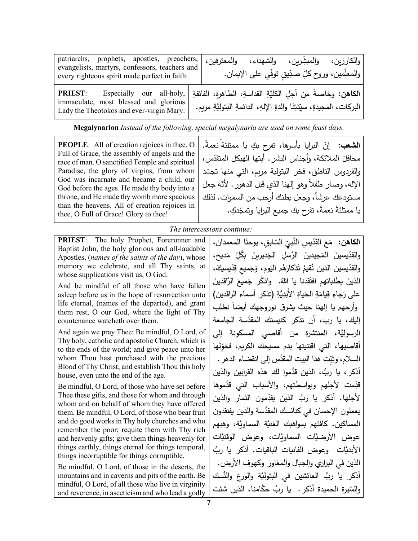| patriarchs, prophets, apostles, preachers,<br>evangelists, martyrs, confessors, teachers and<br>every righteous spirit made perfect in faith: | والمعترفين، | والكارزين، والمبشِّرين، والشهداء،<br>والمعلِّمين، وروح كلِّ صدِّيقٍ توفِّي على الإيمان.                                                           |  |
|-----------------------------------------------------------------------------------------------------------------------------------------------|-------------|---------------------------------------------------------------------------------------------------------------------------------------------------|--|
| <b>PRIEST:</b><br>Especially our all-holy,<br>immaculate, most blessed and glorious<br>Lady the Theotokos and ever-virgin Mary:               |             | ا <b>لكاهن:</b> وخاصةً من أجلِ الكليّةِ القداسةِ، الطاهرةِ، الفائقةِ<br>البركات، المجيدةِ، سيِّدَتِنَا والدةِ الإلهِ، الدائمةِ البتوليَّةِ مريمٍ. |  |

**Megalynarion** *Instead of the following, special megalynaria are used on some feast days.*

**PEOPLE**: All of creation rejoices in thee, O Full of Grace, the assembly of angels and the race of man. O sanctified Temple and spiritual Paradise, the glory of virgins, from whom God was incarnate and became a child, our God before the ages. He made thy body into a throne, and He made thy womb more spacious than the heavens. All of creation rejoices in thee, O Full of Grace! Glory to thee!

ا**لشعب:** إنّ البرايا بأسرها، تفرح بكِ يا ممتلئة نعمةً. محافلَ الملائكة، وأجناس البشر . أيتها الـهيكل المتقدّس، والفردوس الناطق، فخر البتولية مريم، التي منها تجسّد الإله، وصـار طفلا وهو إلهنا الذي قبل الدهور . لأنّه جعل مستودعك عرشاً، وجعل بطنك أرحب من السموات. لذلك يا ممتلئةً نعمةً، تفرح بك جميع البرايا وتمجّدكِ.

*The intercessions continue:*

**PRIEST**: The holy Prophet, Forerunner and Baptist John, the holy glorious and all-laudable Apostles, (*names of the saints of the day*), whose memory we celebrate, and all Thy saints, at whose supplications visit us, O God.

And be mindful of all those who have fallen asleep before us in the hope of resurrection unto life eternal, (names of the departed), and grant them rest, O our God, where the light of Thy countenance watcheth over them.

And again we pray Thee: Be mindful, O Lord, of Thy holy, catholic and apostolic Church, which is to the ends of the world; and give peace unto her whom Thou hast purchased with the precious Blood of Thy Christ; and establish Thou this holy house, even unto the end of the age.

Be mindful, O Lord, of those who have set before Thee these gifts, and those for whom and through whom and on behalf of whom they have offered them. Be mindful, O Lord, of those who bear fruit and do good works in Thy holy churches and who remember the poor; requite them with Thy rich and heavenly gifts; give them things heavenly for things earthly, things eternal for things temporal, things incorruptible for things corruptible.

Be mindful, O Lord, of those in the deserts, the mountains and in caverns and pits of the earth. Be mindful, O Lord, of all those who live in virginity and reverence, in asceticism and who lead a godly

**الكاهن:** مَعَ القِدِّيسِ النَّبِيِّ السّابِقِ، يوحنّا المعمدان،<br>النَّاسُ مَعَ القِدِّيسِ النَّبِيِّ السَّابِقِ، يَعْلَمُ والقِدّيسينَ المَجيدينَ الرُّسلِ الجَديرينَ بِكُلِّ مَديح،<br>. والقِدّيسِين الذين نُقيمُ تَذكارَهُم اليَومِ، وَجَميعِ قِدّيسيكَ،<br>مستقدمة الذينَ بِطلباتِهِم افتَقِدنا يا اللهُ. واذكُر جَميعَ الرَّاقِدينَ على رَجاءِ قِيامَةِ الحَياةِ الأَبَدِيَّةِ (تذكر أسماء الراقدين)<br>-وأرحهم يا إلهنا حيث يشرق نوروجهك أيضاً نطلب َّ إل�ك، �ا رب، أن تذ�ر �ن�ستك المقدسة الجامعة َّ الرسول�ة، المنتشرة من أقاصي المسكونة إلى أقاصيها، التي اقتنيتها بدم مسيحك الكريم، فخوِّلها السلام، وثبِّت هذا البيت المقدَّس إلى انقضاء الدهر .<br>م أذكر ، يا ربُّ ، الذین قدَّموا لك هذه القرابین والذین قدِّمت لأجلهم وبواسطتهم، والأسباب التي قدَّموها لأجلها. أذكر يا ربُ الذين يقدِّمون الثمار والذين يعملون الإحسان في كنائسك المقدَّسة والذین يفتقدون المساكين. كافئهم بمواهبك الغنيَّة السماويَّة، وهبهم عوض الأرضيَّات السماويَّات، وعوض الوقتيَّات الأبديَّات وعوض الفانيات الباقيات. أذكر يا ربُّ الذین في البراري والجبال والمغاور وكهوف الأرض. أذكر يا ربُّ العائشين في البتوليَّة والورع والنُّسك والسِّيرة الحميدة أذكر . یا ربُّ حكَّامنا، الذين شئت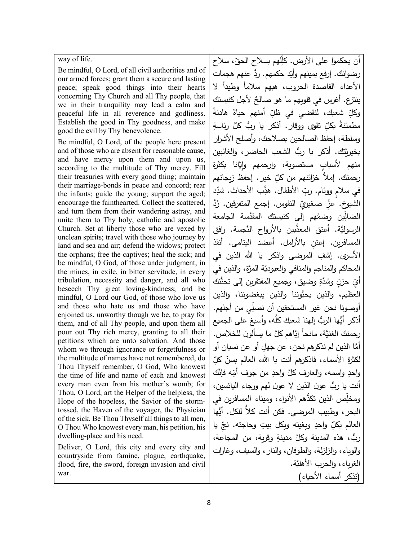way of life.

Be mindful, O Lord, of all civil authorities and of our armed forces; grant them a secure and lasting peace; speak good things into their hearts concerning Thy Church and all Thy people, that we in their tranquility may lead a calm and peaceful life in all reverence and godliness. Establish the good in Thy goodness, and make good the evil by Thy benevolence.

Be mindful, O Lord, of the people here present and of those who are absent for reasonable cause, and have mercy upon them and upon us, according to the multitude of Thy mercy. Fill their treasuries with every good thing; maintain their marriage-bonds in peace and concord; rear the infants; guide the young; support the aged; encourage the fainthearted. Collect the scattered, and turn them from their wandering astray, and unite them to Thy holy, catholic and apostolic Church. Set at liberty those who are vexed by unclean spirits; travel with those who journey by land and sea and air; defend the widows; protect the orphans; free the captives; heal the sick; and be mindful, O God, of those under judgment, in the mines, in exile, in bitter servitude, in every tribulation, necessity and danger, and all who beseech Thy great loving-kindness; and be mindful, O Lord our God, of those who love us and those who hate us and those who have enjoined us, unworthy though we be, to pray for them, and of all Thy people, and upon them all pour out Thy rich mercy, granting to all their petitions which are unto salvation. And those whom we through ignorance or forgetfulness or the multitude of names have not remembered, do Thou Thyself remember, O God, Who knowest the time of life and name of each and knowest every man even from his mother's womb; for Thou, O Lord, art the Helper of the helpless, the Hope of the hopeless, the Savior of the stormtossed, the Haven of the voyager, the Physician of the sick. Be Thou Thyself all things to all men, O Thou Who knowest every man, his petition, his dwelling-place and his need.

Deliver, O Lord, this city and every city and countryside from famine, plague, earthquake, flood, fire, the sword, foreign invasion and civil war.

أن يحكموا على الأرض. كلِّلهم بسلاح الحقّ، سلاح رضوانك. إرفع يمينهم وأيّد حكمهم. ردَّ عنهم هجمات الأعداء القاصدة الحروب، هبهم سلاما وطيدا لا ينتزع. أغرس في قلوبهم ما هو صالحٌ لأجل كنيستكِ وكلِّ شعبك، لنقضي في ظلِّ أمنهم حياةً هادئةً ِّ تقوى ووقار. أذكر يا ربُّ كلَّ مطمئنةً بكلِّ تق*وى* ووقار. أذكر يا ربُّ كلَّ رئاسةٍ وسلطة، إحفظ الصالحین �صلاحك، وأصلح الأشرار بخیرِ تَّتك. أذكر یا ربُّ الشعب الحاضر ، والغائبین منهم لأسباب مستصوبة، وارحمهم وايَّانا بكثرة رحمتك. إملأ خزائنهم من كلِّ خير . إحفظ زيجاتهم في سلامٍ ووئام. ربِّ الأطفال. هذِّب الأحداث. شدِّد الشيوخ. عزِّ صغيريِّ النفوس. إجمع المتفرقين. رُدَّ الضالِّين وضمَّهم إلى كنيستك المقدَّسة الجامعة الرسوليَّة. أعتق المعذَّبين بالأرواح النَّجسة. رافق ِ المسافر�ن. إعتن �الأرامل. أعضد الیتامى. أنقذ الأسرى. إشفِ المرضى واذكر يا الله الذين في المحاكم والمناجم والمنافي والعبودَّ�ة َّ المرة، والذین في أيِّ حزنٍ وشدَّةٍ وضيق، وجميع المفتقرين إلى تحنُّنك العظیم، والذین یحبُّوننا والذین یبغضوننا، والذین أوصونا نحن غیر المستحقین أن نصلّى من أجلهم. أذكر أيُّها الربُّ إلهنا شعبك كلَّه، وأسبغ على الجميع رحمتك الغنيَّة، مانحاً إيَّاهم كلَّ ما يسألون للخلاص. أمَّا الذين لم نذكرهم نحن، عن جهلٍ أو عن نسيان أو لكثرة الأسماء، فاذكرهم أنت يا الله، العالم بسنِّ كلِّ واحدٍ واسمه، والعارف كلَّ واحدٍ من جوف أمِّه فإنَّك<br>و أنت يا ربٌ عون الذین لا عون لهم ورجاء اليائسین، ومخلِّص الذین تكدُّهم الأنواء، ومیناء المسافرین في البحر ، وطبيب المرضى. فكن أنت كلاً للكل. أيُها العالم بكلِّ واحدٍ وبغيته وبكل بيتٍ وحاجته. نتجِّ يا ربُّ، هذه المدینة وكلَّ مدینة وقریة، من المجاعة، والو�اء، والزلزلة، والطوفان، والنار، والس�ف، وغارات َّ الغر�اء، والحرب الأهل�ة. (تذ�ر أسماء الأح�اء)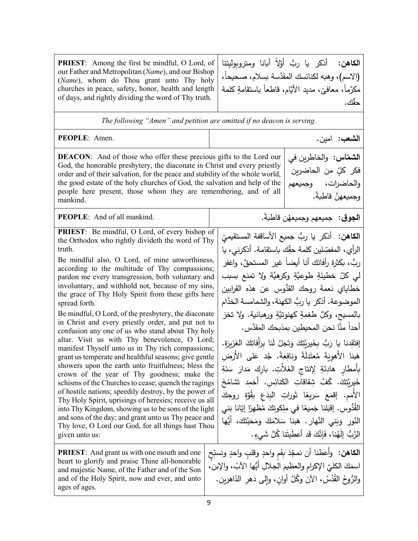**PRIEST**: Among the first be mindful, O Lord, of our Father and Metropolitan (*Name*), and our Bishop (*Name*), whom do Thou grant unto Thy holy churches in peace, safety, honor, health and length of days, and rightly dividing the word of Thy truth. **الكاهن:** أذكر يا ربٌ أوّلا أبانا ومتروبوليتنا (الاسم)، وهبه لكنائسك المقدَّسة بسلام، صحيحاً، مكرَّماً، معافيَ، مديد الأيَّام، قاطعاً باستقامةٍ كلمة<br>ت حقِّك . *The following "Amen" and petition are omitted if no deacon is serving.* **الشعب**: امین. .Amen :**PEOPLE DEACON:** And of those who offer these precious gifts to the Lord our God, the honorable presbytery, the diaconate in Christ and every priestly order and of their salvation, for the peace and stability of the whole world, the good estate of the holy churches of God, the salvation and help of the people here present, those whom they are remembering, and of all mankind. **الشماس:** والخاطرين في فكر كل*ٍّ* من الحاضري*ن* والحاضرات، وجميعهم وجميعهنَّ قاطبةً. وجم�عه . ُ ً ن قاط�ة **الجوق**: جم�عهم .mankind all of And :**PEOPLE PRIEST**: Be mindful, O Lord, of every bishop of the Orthodox who rightly divideth the word of Thy truth. Be mindful also, O Lord, of mine unworthiness, according to the multitude of Thy compassions; pardon me every transgression, both voluntary and involuntary, and withhold not, because of my sins, the grace of Thy Holy Spirit from these gifts here spread forth. Be mindful, O Lord, of the presbytery, the diaconate in Christ and every priestly order, and put not to confusion any one of us who stand about Thy holy altar. Visit us with Thy benevolence, O Lord; manifest Thyself unto us in Thy rich compassions; grant us temperate and healthful seasons; give gentle showers upon the earth unto fruitfulness; bless the crown of the year of Thy goodness; make the schisms of the Churches to cease; quench the ragings of hostile nations; speedily destroy, by the power of Thy Holy Spirit, uprisings of heresies; receive us all into Thy Kingdom, showing us to be sons of the light and sons of the day; and grant unto us Thy peace and Thy love, O Lord our God, for all things hast Thou given unto us: **الكاهن:** أذكر يا ربُّ جميع الأساقفة المستقيميِّ<br>سئ الرأي، المفصِّلين كلمة حقِّك باستقامة. أذكرني، يا ربٌ، بكثرة رأفاتك أنا أيضاً غير المستحقّ، واغفر لي كلَّ خطيئةٍ طوعيَّةٍ وكرهيَّة ولا تمنع بسبب خطاياي نعمة روحك القدُّوس عن هذه القرابين الموضوعة. أذكر يا ربُّ الكهنة، والشمامسة الخدَّام بالمسيح، وكلَّ طغمةٍ كهنوتيَّةٍ ورهبانية. ولا تخز أحداً منَّا نحن المحيطين بمذبحك المقدَّس. إفتَقِدنا يا رَبُّ بِخَيرِيَّتِكَ وَتَجَلَّ لَنا بِرَأَفاتِكَ الغَزِيرَةِ.<br>أَفَقَدْ الْمَسْمَعِينَ هَبِنا الأَهوِيَةَ مُعتَدِلَةً وَنافِعَةً. جُد عَلى الأَرض*ِ* بِأَمطارٍ هادِئَةٍ لِإِنتاجِ الغَلاَّتِ. بارِكِ مَدارَ سَنَةِ خَيرِيَّتِكَ. كُفَّ شِقاقاتِ الكَنائِسِ. أَخمِد تَشامُخَ الأُمَمِ. إقمَع سَريعًا ثَوراتِ البِدَعِ بِقُوَّةِ روحِكَ<br>' ً<br>ً القُّدُوسِ. إقبَلنا جَميعًا في مِلِكوتِكَ مُظْهِرًا إيَّانا بَني النُّورِ وَبَني النَّهارِ . هَبنا سَلامَكَ وَمَحَبَّتَكَ، أَيُّها | <sup>nd</sup><br>ou الرَّبُّ إِلَهُنا، فَإِنَّكَ قَد أَعطَيتَنا كُلَّ شَي*ءٍ*. **PRIEST**: And grant us with one mouth and one heart to glorify and praise Thine all-honorable and majestic Name, of the Father and of the Son and of the Holy Spirit, now and ever, and unto ages of ages. **الكاهن:** وأَعطنا أن نمجِّدَ بِفَمٍ واحدٍ وِقلبٍ واحدٍ ونسبِّحَ اسمَكَ الكليَّ الإكرامِ والعظيمَ الجلالِ أيُّها الآبُ، والإبن،<br>مُسْتَمَّذٍ اللَّهُمُّ الْمُسْتَمَّذِ والرُّوحُ القُدُسُ، الآنَ وكُلَّ أُوانٍ، وإِلَى دَهْرِ الدَّاهرين.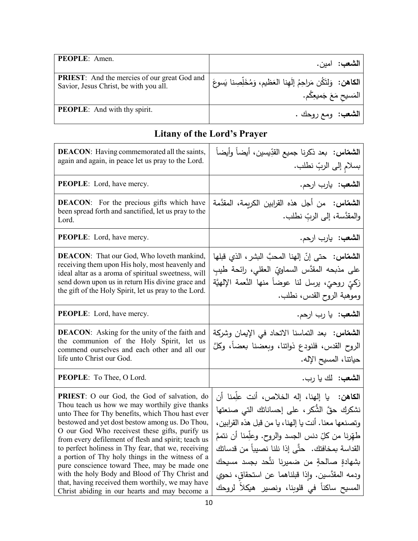| <b>PEOPLE:</b> Amen.                                                                          | . <b>الشعب:</b> امين.                                                   |
|-----------------------------------------------------------------------------------------------|-------------------------------------------------------------------------|
| <b>PRIEST:</b> And the mercies of our great God and<br>Savior, Jesus Christ, be with you all. | ا <b>لكاهن:</b> وَلتَكُن مَراحِمُ إلَهِنا العَظيم، وَمُخَلِّصِنا يَسوعَ |
|                                                                                               | المَسيح مَعَ جَميعِكُم.                                                 |
| <b>PEOPLE:</b> And with thy spirit.                                                           | ال <b>شعب</b> : ومع روحك .                                              |

## **Litany of the Lord's Prayer**

| <b>DEACON:</b> Having commemorated all the saints,<br>again and again, in peace let us pray to the Lord.                                                                                                                                                                                                                                                                                                                                                                                                                                                                                                                       | ا <b>لشمّاس: ب</b> عد ذكرنا جميع القدِّيسين، أيضاً وأيضاً<br>بسلام إلى الربِّ نطلب.                                                                                                                                                                                                                                                                                                                                      |
|--------------------------------------------------------------------------------------------------------------------------------------------------------------------------------------------------------------------------------------------------------------------------------------------------------------------------------------------------------------------------------------------------------------------------------------------------------------------------------------------------------------------------------------------------------------------------------------------------------------------------------|--------------------------------------------------------------------------------------------------------------------------------------------------------------------------------------------------------------------------------------------------------------------------------------------------------------------------------------------------------------------------------------------------------------------------|
| <b>PEOPLE:</b> Lord, have mercy.                                                                                                                                                                                                                                                                                                                                                                                                                                                                                                                                                                                               | ا <b>لشعب:</b> يارب ارحم.                                                                                                                                                                                                                                                                                                                                                                                                |
| <b>DEACON:</b> For the precious gifts which have<br>been spread forth and sanctified, let us pray to the<br>Lord.                                                                                                                                                                                                                                                                                                                                                                                                                                                                                                              | ا <b>لشمّاس:</b> من أجل هذه القرابين الكريمة، المقدَّمة<br>والمقدَّسة، إلى الربِّ نطلب.                                                                                                                                                                                                                                                                                                                                  |
| <b>PEOPLE:</b> Lord, have mercy.                                                                                                                                                                                                                                                                                                                                                                                                                                                                                                                                                                                               | الشعب: يارب ارحم.                                                                                                                                                                                                                                                                                                                                                                                                        |
| <b>DEACON:</b> That our God, Who loveth mankind,<br>receiving them upon His holy, most heavenly and<br>ideal altar as a aroma of spiritual sweetness, will<br>send down upon us in return His divine grace and<br>the gift of the Holy Spirit, let us pray to the Lord.                                                                                                                                                                                                                                                                                                                                                        | ا <b>لشمقاس:</b> حتى إنّ إلهنا المحبَّ البشر ، الذي قبلها<br>على مذبحه المقدَّس السماويِّ العقلي، رائحة طيبِ<br>زكيِّ روحيٍّ، يرسل لنا عوضاً منها النَّعمة الإلهيَّة<br>وموهبة الروح القدس، نطلب.                                                                                                                                                                                                                        |
| <b>PEOPLE:</b> Lord, have mercy.                                                                                                                                                                                                                                                                                                                                                                                                                                                                                                                                                                                               | ا <b>لشعب</b> : يا رب ارحم.                                                                                                                                                                                                                                                                                                                                                                                              |
| <b>DEACON:</b> Asking for the unity of the faith and<br>the communion of the Holy Spirit, let us<br>commend ourselves and each other and all our<br>life unto Christ our God.                                                                                                                                                                                                                                                                                                                                                                                                                                                  | ا <b>لشقاس:</b> بعد التماسنا الاتحاد في الإيمان وشركة<br>الروح القدس، فلنودع ذواتنا، وبعضنا بعضاً، وكلَّ<br>حياتنا، المسيح الإله.                                                                                                                                                                                                                                                                                        |
| PEOPLE: To Thee, O Lord.                                                                                                                                                                                                                                                                                                                                                                                                                                                                                                                                                                                                       | الشعب: لك يا رب.                                                                                                                                                                                                                                                                                                                                                                                                         |
| PRIEST: O our God, the God of salvation, do<br>Thou teach us how we may worthily give thanks<br>unto Thee for Thy benefits, which Thou hast ever<br>bestowed and yet dost bestow among us. Do Thou,<br>O our God Who receivest these gifts, purify us<br>from every defilement of flesh and spirit; teach us<br>to perfect holiness in Thy fear, that we, receiving<br>a portion of Thy holy things in the witness of a<br>pure conscience toward Thee, may be made one<br>with the holy Body and Blood of Thy Christ and<br>that, having received them worthily, we may have<br>Christ abiding in our hearts and may become a | ا <b>لكاهن:</b> يا إلهنا، إله الخلاص، أنت علِّمنا أن<br>نشكرك حقَّ الشُّكرِ ، على إحساناتك التي صنعتها<br>وتصنعها معنا. أنت يا إلهنا، يا من قبل هذه القرابين،<br>طهّرنا من كلِّ دنس الجسد والروح. وعلِّمنا أن نتممَّ<br>القداسة بمخافتك. حتَّى إذا نلنا نصيباً من قدساتك<br>بشهادةٍ صالحةٍ من ضميرنا نتَّحد بجسد مسيحك<br>ودمه المقدَّسين. وإذا قبلناهما عن استحقاق، نحوي<br>المسيح ساكناً في قلوبنا، ونصير هيكلاً لروحك |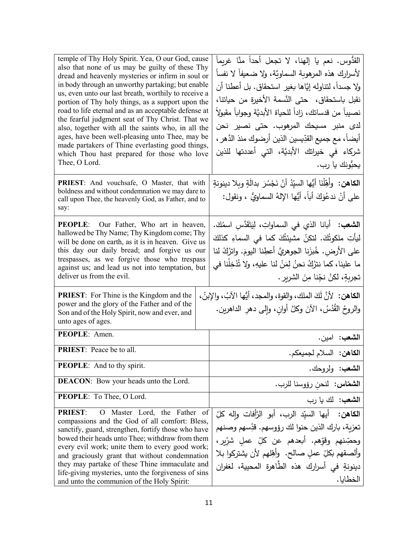| temple of Thy Holy Spirit. Yea, O our God, cause<br>also that none of us may be guilty of these Thy<br>dread and heavenly mysteries or infirm in soul or<br>in body through an unworthy partaking; but enable<br>us, even unto our last breath, worthily to receive a<br>portion of Thy holy things, as a support upon the<br>road to life eternal and as an acceptable defense at<br>the fearful judgment seat of Thy Christ. That we<br>also, together with all the saints who, in all the<br>ages, have been well-pleasing unto Thee, may be<br>made partakers of Thine everlasting good things,<br>which Thou hast prepared for those who love<br>Thee, O Lord. | القدُّوس. نعم يا إلهنا، لا تجعل أحداً منَّا غريماً<br>لأسرارك هذه المرهوبة السماويَّة، ولا ضعيفاً لا نفساً<br>ولا جسداً، لتتاوله إيَّاها بغير استحقاق. بل أعطنا أن<br>نقبل باستحقاق، حتى النَّسمة الأخيرة من حياتنا،<br>نصيباً من قدساتك، زاداً للحياة الأبديَّة وجواباً مقبولاً<br>لدى منبر مسيحك المرهوب. حتى نصير نحن<br>أيضاً، مع جميع القدِّيسين الذين أرضوك منذ الدَّهر ،<br>شركاء في خيراتك الأبديَّة، التي أعددتها للذين<br>يحبُّونك يا رب. |
|---------------------------------------------------------------------------------------------------------------------------------------------------------------------------------------------------------------------------------------------------------------------------------------------------------------------------------------------------------------------------------------------------------------------------------------------------------------------------------------------------------------------------------------------------------------------------------------------------------------------------------------------------------------------|-----------------------------------------------------------------------------------------------------------------------------------------------------------------------------------------------------------------------------------------------------------------------------------------------------------------------------------------------------------------------------------------------------------------------------------------------------|
| PRIEST: And vouchsafe, O Master, that with<br>boldness and without condemnation we may dare to<br>call upon Thee, the heavenly God, as Father, and to<br>say:                                                                                                                                                                                                                                                                                                                                                                                                                                                                                                       | ا <b>لكاهن:</b> وأَهِّلْنَا أَيُّها السيّدُ أَنْ نَجْسُرَ بدالَةٍ وبلا دينونةٍ<br>على أنْ ندعُوَكَ أباً، أيُّها الإِلهُ السماويُّ ، ونقول:                                                                                                                                                                                                                                                                                                          |
| <b>PEOPLE:</b> Our Father, Who art in heaven,<br>hallowed be Thy Name; Thy Kingdom come; Thy<br>will be done on earth, as it is in heaven. Give us<br>this day our daily bread; and forgive us our<br>trespasses, as we forgive those who trespass<br>against us; and lead us not into temptation, but<br>deliver us from the evil.<br>PRIEST: For Thine is the Kingdom and the<br>power and the glory of the Father and of the                                                                                                                                                                                                                                     | ا <b>لشعب:</b> أبانا الذي في السماواتِ، لِيَتَقَدَّس اسمُكَ.<br>ليأتِ ملكوتُكَ. لتكنْ مشيئتُكَ كما في السماءِ كذلكَ<br>على الأرض. خُبزَنا الجوهريَّ أعطِنا اليومَ. واترُكْ لنا<br>ما علينا، كما نترُكُ نحنُ لِمَنْ لنا عليهِ، ولا تُذْخِلْنا في<br>تجربةٍ، لكنْ نجِّنا مِنَ الشريرِ .<br>ا <b>لكاهن:</b> لأنَّ لَكَ الملك، والقوة، والمجد، أيُّها الآبُ، والإبنُ،<br>والروحُ القُدُسُ، الآنَ وكلَّ أوانِ، وإلى دهرِ الداهرين.                       |
| Son and of the Holy Spirit, now and ever, and<br>unto ages of ages.                                                                                                                                                                                                                                                                                                                                                                                                                                                                                                                                                                                                 |                                                                                                                                                                                                                                                                                                                                                                                                                                                     |
| PEOPLE: Amen.                                                                                                                                                                                                                                                                                                                                                                                                                                                                                                                                                                                                                                                       | ا <b>لشعب:</b> امين.                                                                                                                                                                                                                                                                                                                                                                                                                                |
| <b>PRIEST:</b> Peace be to all.                                                                                                                                                                                                                                                                                                                                                                                                                                                                                                                                                                                                                                     | الكاهن: السلام لجميعكم.                                                                                                                                                                                                                                                                                                                                                                                                                             |
| PEOPLE: And to thy spirit.                                                                                                                                                                                                                                                                                                                                                                                                                                                                                                                                                                                                                                          | ا <b>لشعب</b> : ولروحك.                                                                                                                                                                                                                                                                                                                                                                                                                             |
| <b>DEACON:</b> Bow your heads unto the Lord.                                                                                                                                                                                                                                                                                                                                                                                                                                                                                                                                                                                                                        | ا <b>لشقاس:</b> لنحن رؤوسنا للرب.                                                                                                                                                                                                                                                                                                                                                                                                                   |
| PEOPLE: To Thee, O Lord.                                                                                                                                                                                                                                                                                                                                                                                                                                                                                                                                                                                                                                            | الشعب: لك يا رب                                                                                                                                                                                                                                                                                                                                                                                                                                     |
| <b>PRIEST:</b><br>Master Lord, the Father of<br>$\mathbf{O}$<br>compassions and the God of all comfort: Bless,<br>sanctify, guard, strengthen, fortify those who have<br>bowed their heads unto Thee; withdraw from them<br>every evil work; unite them to every good work;<br>and graciously grant that without condemnation<br>they may partake of these Thine immaculate and<br>life-giving mysteries, unto the forgiveness of sins<br>and unto the communion of the Holy Spirit:                                                                                                                                                                                | ا <b>لكاهن:</b> أيها السيِّد الرب، أبو الرَّأفات وإله كلِّ<br>تعزية، بارك الذين حنوا لك رؤوسهم. قدِّسهم وصنهم<br>وحصِّنهم وقوَّهم. أبعدهم عن كلِّ عملٍ شرّيرٍ،<br>وألصقهم بكلِّ عملٍ صالح. وأهِّلهم لأن يشتركوا بلا<br>دينونةٍ في أسرارك هذه الطّاهرة المحيية، لغفران<br>الخطابا.                                                                                                                                                                   |